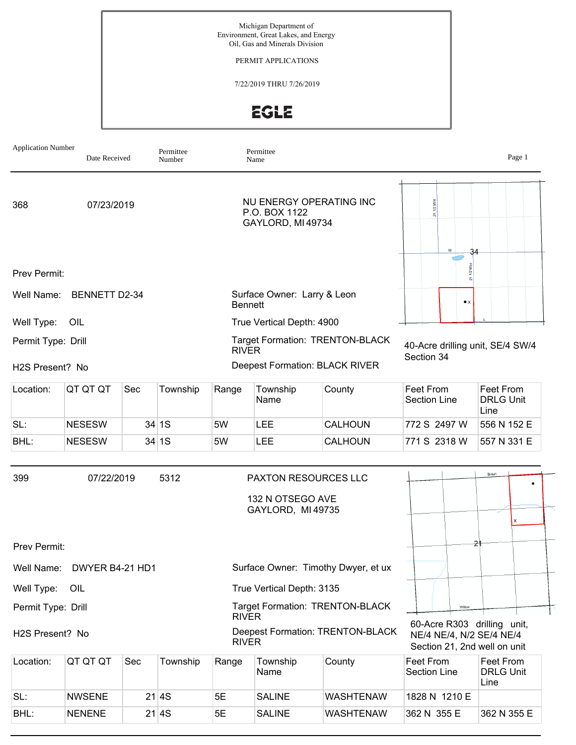PERMIT APPLICATIONS

7/22/2019 THRU 7/26/2019

**EGLE** 

| <b>Application Number</b>    | Date Received        |     | Permittee<br>Number |                | Permittee<br>Name                                                    |                                        |                                                                                         | Page 1                                |
|------------------------------|----------------------|-----|---------------------|----------------|----------------------------------------------------------------------|----------------------------------------|-----------------------------------------------------------------------------------------|---------------------------------------|
| 368                          | 07/23/2019           |     |                     |                | NU ENERGY OPERATING INC<br>P.O. BOX 1122<br>GAYLORD, MI 49734        | 1/2 Mile                               |                                                                                         |                                       |
| Prev Permit:                 |                      |     |                     |                |                                                                      |                                        | 34<br>$\bar{\mathbf{z}}$                                                                |                                       |
| Well Name:                   | <b>BENNETT D2-34</b> |     |                     | <b>Bennett</b> | Surface Owner: Larry & Leon                                          |                                        | $\bullet x$                                                                             |                                       |
| Well Type:                   | OIL                  |     |                     |                | True Vertical Depth: 4900                                            |                                        |                                                                                         |                                       |
| Permit Type: Drill           |                      |     |                     | <b>RIVER</b>   |                                                                      | Target Formation: TRENTON-BLACK        | 40-Acre drilling unit, SE/4 SW/4<br>Section 34                                          |                                       |
| H <sub>2</sub> S Present? No |                      |     |                     |                | Deepest Formation: BLACK RIVER                                       |                                        |                                                                                         |                                       |
| Location:                    | QT QT QT             | Sec | Township            | Range          | Township<br>Name                                                     | County                                 | Feet From<br><b>Section Line</b>                                                        | Feet From<br><b>DRLG Unit</b><br>Line |
| SL:                          | <b>NESESW</b>        |     | 34 1S               | 5W             | <b>LEE</b>                                                           | CALHOUN                                | 772 S 2497 W                                                                            | 556 N 152 E                           |
| BHL:                         | <b>NESESW</b>        |     | 34 1S               | 5W             | <b>LEE</b>                                                           | CALHOUN                                | 771 S 2318 W                                                                            | 557 N 331 E                           |
| 399                          | 07/22/2019           |     | 5312                |                | <b>PAXTON RESOURCES LLC</b><br>132 N OTSEGO AVE<br>GAYLORD, MI 49735 |                                        |                                                                                         | Braun<br>x                            |
| Prev Permit:                 |                      |     |                     |                |                                                                      |                                        | 2                                                                                       |                                       |
| Well Name:                   | DWYER B4-21 HD1      |     |                     |                |                                                                      | Surface Owner: Timothy Dwyer, et ux    |                                                                                         |                                       |
| Well Type:                   | OIL                  |     |                     |                | True Vertical Depth: 3135                                            |                                        |                                                                                         |                                       |
| Permit Type: Drill           |                      |     |                     | <b>RIVER</b>   |                                                                      | <b>Target Formation: TRENTON-BLACK</b> | Wilbw                                                                                   |                                       |
| H2S Present? No              |                      |     |                     | <b>RIVER</b>   |                                                                      | Deepest Formation: TRENTON-BLACK       | 60-Acre R303 drilling unit,<br>NE/4 NE/4, N/2 SE/4 NE/4<br>Section 21, 2nd well on unit |                                       |
| Location:                    | QT QT QT             | Sec | Township            | Range          | Township<br>Name                                                     | County                                 | Feet From<br>Section Line                                                               | Feet From<br><b>DRLG Unit</b><br>Line |
| SL:                          | <b>NWSENE</b>        |     | 21 4S               | 5E             | <b>SALINE</b>                                                        | <b>WASHTENAW</b>                       | 1828 N 1210 E                                                                           |                                       |
| BHL:                         | <b>NENENE</b>        |     | 21 4S               | 5E             | <b>SALINE</b>                                                        | <b>WASHTENAW</b>                       | 362 N 355 E                                                                             | 362 N 355 E                           |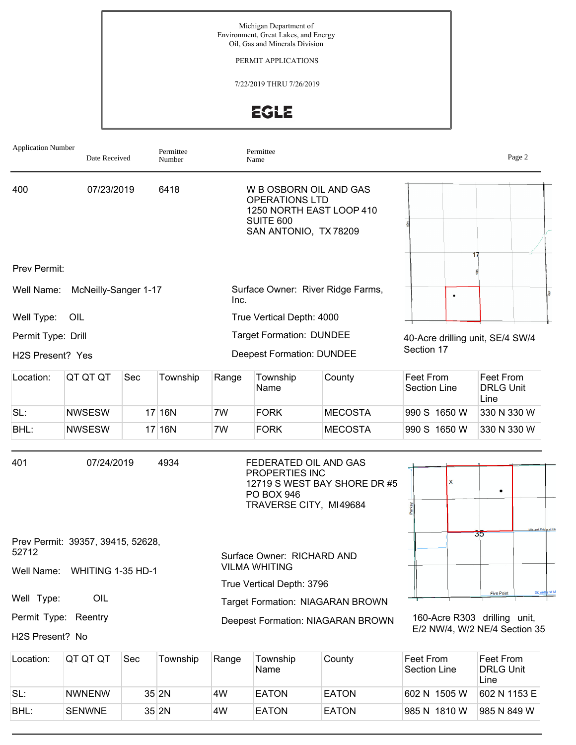PERMIT APPLICATIONS

7/22/2019 THRU 7/26/2019

EGLE

| <b>Application Number</b> | Date Received                     |     | Permittee<br>Number |                                     | Permittee<br>Name                                                                      |                                   |                                  | Page 2                                |
|---------------------------|-----------------------------------|-----|---------------------|-------------------------------------|----------------------------------------------------------------------------------------|-----------------------------------|----------------------------------|---------------------------------------|
| 400                       | 07/23/2019                        |     | 6418                |                                     | W B OSBORN OIL AND GAS<br><b>OPERATIONS LTD</b><br>SUITE 600<br>SAN ANTONIO, TX 78209  | 1250 NORTH EAST LOOP 410          |                                  |                                       |
| Prev Permit:              |                                   |     |                     |                                     |                                                                                        |                                   |                                  | 17                                    |
| Well Name:                | McNeilly-Sanger 1-17              |     |                     | Inc.                                |                                                                                        | Surface Owner: River Ridge Farms, |                                  |                                       |
| Well Type:                | OIL                               |     |                     |                                     | True Vertical Depth: 4000                                                              |                                   |                                  |                                       |
| Permit Type: Drill        |                                   |     |                     |                                     | <b>Target Formation: DUNDEE</b>                                                        |                                   | 40-Acre drilling unit, SE/4 SW/4 |                                       |
| H2S Present? Yes          |                                   |     |                     |                                     | <b>Deepest Formation: DUNDEE</b>                                                       |                                   | Section 17                       |                                       |
| Location:                 | QT QT QT                          | Sec | Township            | Township<br>County<br>Range<br>Name |                                                                                        |                                   | Feet From<br><b>Section Line</b> | Feet From<br><b>DRLG Unit</b><br>Line |
| SL:                       | <b>NWSESW</b>                     |     | $17$ 16N            | 7W                                  | <b>FORK</b>                                                                            | <b>MECOSTA</b>                    | 990 S 1650 W                     | 330 N 330 W                           |
| BHL:                      | <b>NWSESW</b>                     |     | $17$ 16N            | 7W                                  | <b>FORK</b>                                                                            | <b>MECOSTA</b>                    | 990 S 1650 W                     | 330 N 330 W                           |
| 401                       | 07/24/2019                        |     | 4934                |                                     | FEDERATED OIL AND GAS<br>PROPERTIES INC<br><b>PO BOX 946</b><br>TRAVERSE CITY, MI49684 | 12719 S WEST BAY SHORE DR #5      | x                                |                                       |
| 52712                     | Prev Permit: 39357, 39415, 52628, |     |                     |                                     | Surface Owner: RICHARD AND                                                             |                                   |                                  | Mik and Prit<br>उठ                    |
|                           | Well Name: WHITING 1-35 HD-1      |     |                     |                                     | <b>VILMA WHITING</b>                                                                   |                                   |                                  |                                       |
| Well Type:                | OIL                               |     |                     |                                     | True Vertical Depth: 3796                                                              |                                   |                                  | Sidwel<br><b>Five Point</b>           |
| Permit Type: Reentry      |                                   |     |                     |                                     |                                                                                        | Target Formation: NIAGARAN BROWN  |                                  | 160-Acre R303 drilling unit,          |
| H2S Present? No           |                                   |     |                     |                                     |                                                                                        | Deepest Formation: NIAGARAN BROWN |                                  | E/2 NW/4, W/2 NE/4 Section 35         |
|                           |                                   |     |                     |                                     |                                                                                        |                                   |                                  |                                       |

| Location: | IQT QT QT     | Sec | Township | Range | Township<br>Name | County       | ∣Feet From<br><b>Section Line</b> | Feet From<br><b>DRLG Unit</b><br>Line |
|-----------|---------------|-----|----------|-------|------------------|--------------|-----------------------------------|---------------------------------------|
| SL:       | <b>NWNENW</b> |     | 35 2N    | 4W    | <b>EATON</b>     | <b>EATON</b> | 602 N 1505 W                      | 1602 N 1153 E                         |
| BHL:      | <b>SENWNE</b> |     | 35 2N    | 4W    | <b>EATON</b>     | <b>EATON</b> | 985 N 1810 W                      | 1985 N 849 W                          |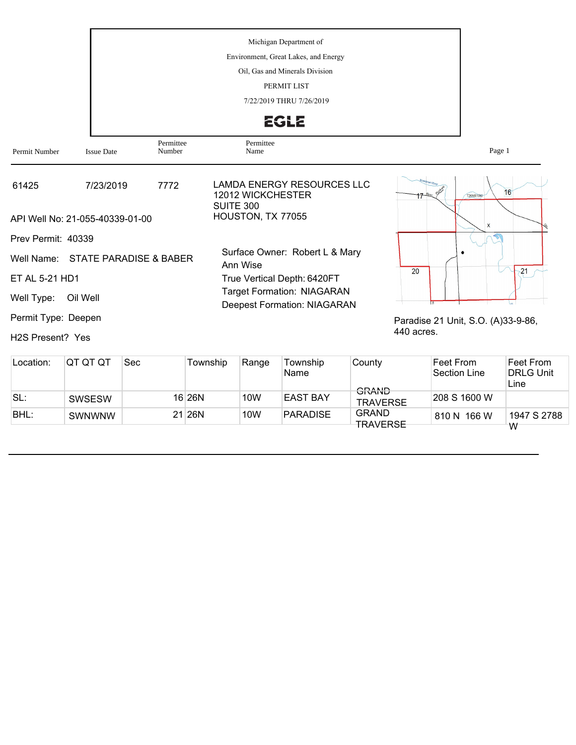Michigan Department of Environment, Great Lakes, and Energy Oil, Gas and Minerals Division PERMIT LIST 7/22/2019 THRU 7/26/2019 EGLE Permittee Permittee<br>Name Permit Number Issue Date Number Name Page 1

| 61425                         | 7/23/2019                         | 7772 | LAMDA ENERGY RESOURCES LLC<br>12012 WICKCHESTER<br>SUITE 300            | 16<br>T26NR10W                     |
|-------------------------------|-----------------------------------|------|-------------------------------------------------------------------------|------------------------------------|
|                               | API Well No: 21-055-40339-01-00   |      | HOUSTON, TX 77055                                                       | X                                  |
| Prev Permit: 40339            |                                   |      |                                                                         |                                    |
|                               | Well Name: STATE PARADISE & BABER |      | Surface Owner: Robert L & Mary<br>Ann Wise                              | 20                                 |
| ET AL 5-21 HD1                |                                   |      | True Vertical Depth: 6420FT                                             | 21                                 |
| Well Type:                    | Oil Well                          |      | <b>Target Formation: NIAGARAN</b><br><b>Deepest Formation: NIAGARAN</b> |                                    |
| Permit Type: Deepen           |                                   |      |                                                                         | Paradise 21 Unit, S.O. (A)33-9-86, |
| H <sub>2</sub> S Present? Yes |                                   |      |                                                                         | 440 acres.                         |

| Location: | IQT QT QT     | Sec | Township | Range           | Township<br>Name | County<br>$CD$ ANID             | Feet From<br>Section Line | Feet From<br><b>DRLG Unit</b><br>Line |
|-----------|---------------|-----|----------|-----------------|------------------|---------------------------------|---------------------------|---------------------------------------|
| SL:       | <b>SWSESW</b> |     | 16 26 N  | 10 <sub>W</sub> | EAST BAY         | UMNINU<br><b>TRAVERSE</b>       | 208 S 1600 W              |                                       |
| BHL:      | <b>SWNWNW</b> |     | 21 26N   | 10 <sub>W</sub> | <b>PARADISE</b>  | <b>GRAND</b><br><b>TRAVERSE</b> | 810 N 166 W               | 1947 S 2788                           |
|           |               |     |          |                 |                  |                                 |                           | W                                     |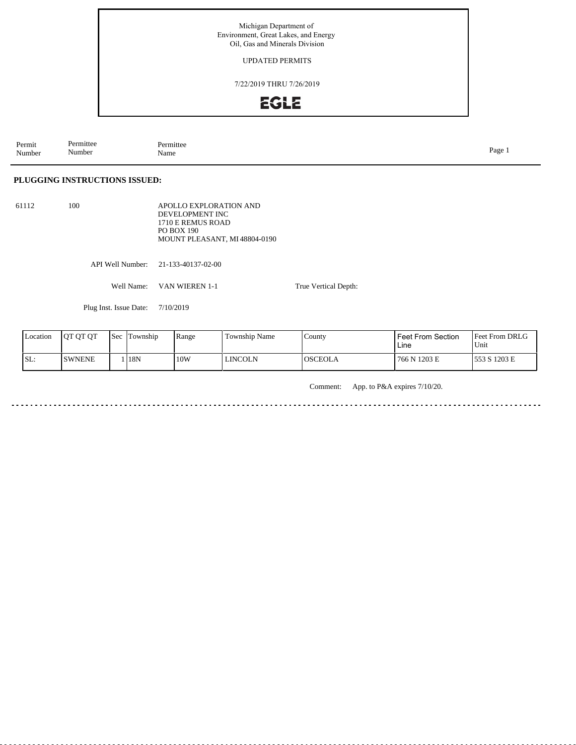#### UPDATED PERMITS

7/22/2019 THRU 7/26/2019



Permit Number Permittee Number Permittee<br>Name Name Page 1

### **PLUGGING INSTRUCTIONS ISSUED:**

61112 100

APOLLO EXPLORATION AND DEVELOPMENT INC 1710 E REMUS ROAD PO BOX 190 MOUNT PLEASANT, MI 48804-0190

API Well Number: 21-133-40137-02-00

Well Name: VAN WIEREN 1-1

Plug Inst. Issue Date: 7/10/2019

| Location | <b>IOT OT OT</b> | Sec | Township | Range | <b>Township Name</b> | County         | Feet From Section<br>Line | <b>Feet From DRLG</b><br>'Unit |
|----------|------------------|-----|----------|-------|----------------------|----------------|---------------------------|--------------------------------|
| SL:      | <b>SWNENE</b>    |     | 18N      | 10W   | <b>LINCOLN</b>       | <b>OSCEOLA</b> | 766 N 1203 E              | 553 S 1203 E                   |

True Vertical Depth:

Comment: App. to P&A expires 7/10/20.

<u>. . . . . . . .</u> <u>. . . . . . . . . . . . .</u>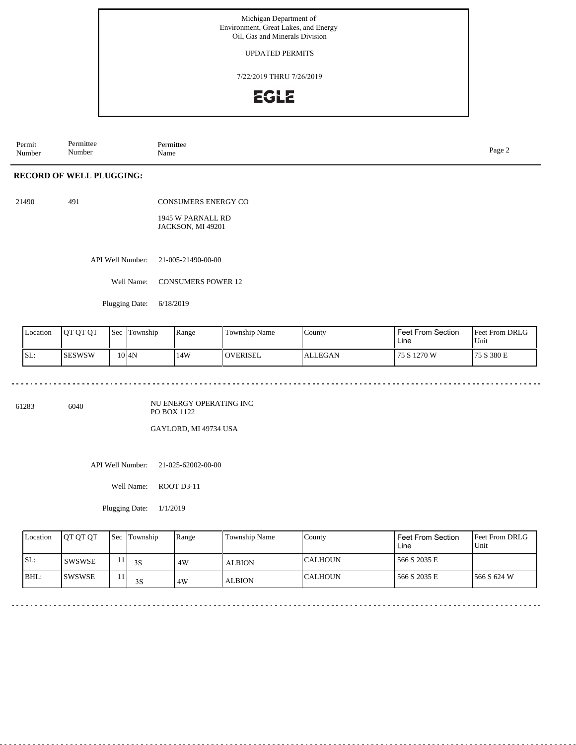UPDATED PERMITS

7/22/2019 THRU 7/26/2019

# **EGLE**

Permit Number Permittee Number Permittee<br>Name Page 2<br>Name

### **RECORD OF WELL PLUGGING:**

21490 491

CONSUMERS ENERGY CO

1945 W PARNALL RD JACKSON, MI 49201

API Well Number: 21-005-21490-00-00

Well Name: CONSUMERS POWER 12

Plugging Date: 6/18/2019

| Location | 10T OT OT | Sec | Township | Range | Township Name   | County         | <b>Feet From Section</b><br>Line | <b>Feet From DRLG</b><br>Unit |
|----------|-----------|-----|----------|-------|-----------------|----------------|----------------------------------|-------------------------------|
| 'SL:     | ISESWSW   |     | 10 I4N   | 14W   | <b>OVERISEL</b> | <b>ALLEGAN</b> | 75 S 1270 W                      | 75 S 380 E                    |

. . . . . . . . . . . . . . . .

61283 6040

NU ENERGY OPERATING INC PO BOX 1122

GAYLORD, MI 49734 USA

API Well Number: 21-025-62002-00-00

Well Name: ROOT D3-11

Plugging Date: 1/1/2019

| Location | <b>IOT OT OT</b> | <b>Sec</b> Township | Range | <b>Township Name</b> | County         | Feet From Section<br>Line | <b>Feet From DRLG</b><br>Unit |
|----------|------------------|---------------------|-------|----------------------|----------------|---------------------------|-------------------------------|
| SL:      | <b>SWSWSE</b>    | 3S                  | 4W    | <b>ALBION</b>        | ICALHOUN       | 566 S 2035 E              |                               |
| BHL:     | ISWSWSE          | 3S                  | 4W    | <b>ALBION</b>        | <b>CALHOUN</b> | 566 S 2035 E              | 1566 S 624 W                  |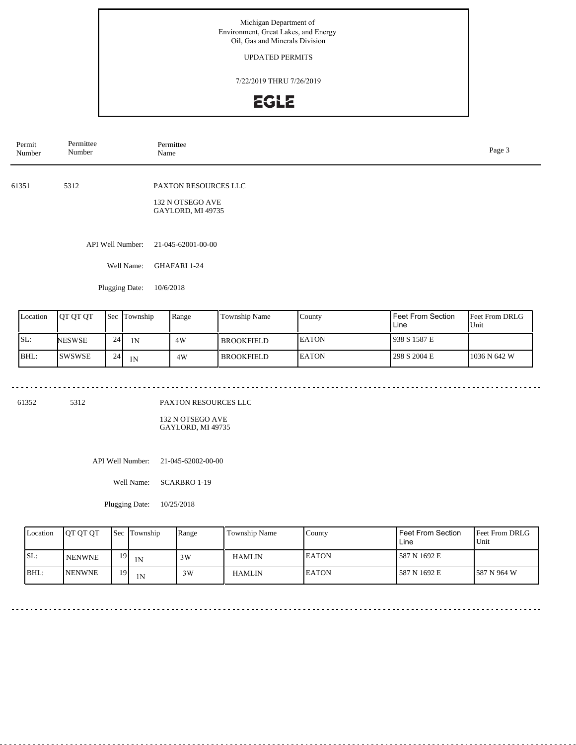#### UPDATED PERMITS

7/22/2019 THRU 7/26/2019

## **EGLE**

| Permit<br>Number | Permittee<br>Number            | Permittee<br>Name                        | Page 3 |
|------------------|--------------------------------|------------------------------------------|--------|
| 61351            | 5312                           | PAXTON RESOURCES LLC<br>132 N OTSEGO AVE |        |
|                  |                                | GAYLORD, MI 49735                        |        |
|                  | API Well Number:<br>Well Name: | 21-045-62001-00-00<br>GHAFARI 1-24       |        |
|                  | Plugging Date:                 | 10/6/2018                                |        |

| Location | <b>OT OT OT</b> |    | <b>Sec</b> Township | Range | Township Name | County       | Feet From Section<br>Line | <b>Feet From DRLG</b><br>Unit |
|----------|-----------------|----|---------------------|-------|---------------|--------------|---------------------------|-------------------------------|
| ISL:     | <b>NESWSE</b>   | 24 | 1Ν                  | 4W    | l BROOKFIELD- | <b>EATON</b> | 938 S 1587 E              |                               |
| IBHL:    | <b>ISWSWSE</b>  | 24 | 1 <sup>N</sup>      | 4W    | l BROOKFIELD. | <b>EATON</b> | 298 S 2004 E              | 1036 N 642 W                  |

61352 5312

PAXTON RESOURCES LLC

132 N OTSEGO AVE GAYLORD, MI 49735

API Well Number: 21-045-62002-00-00

Well Name: SCARBRO 1-19

Plugging Date: 10/25/2018

| Location | <b>OT OT OT</b> |    | <b>Sec</b> Township | Range | Township Name | County        | Feet From Section<br>Line | Feet From DRLG<br>'Unit |
|----------|-----------------|----|---------------------|-------|---------------|---------------|---------------------------|-------------------------|
| SL:      | <b>NENWNE</b>   | 19 | 1 <sup>N</sup>      | 3W    | <b>HAMLIN</b> | <b>IEATON</b> | l 587 N 1692 E            |                         |
| BHL:     | <b>NENWNE</b>   | 19 | 1 <sub>N</sub>      | 3W    | <b>HAMLIN</b> | <b>EATON</b>  | l 587 N 1692 E            | 1587 N 964 W            |

--------------------------------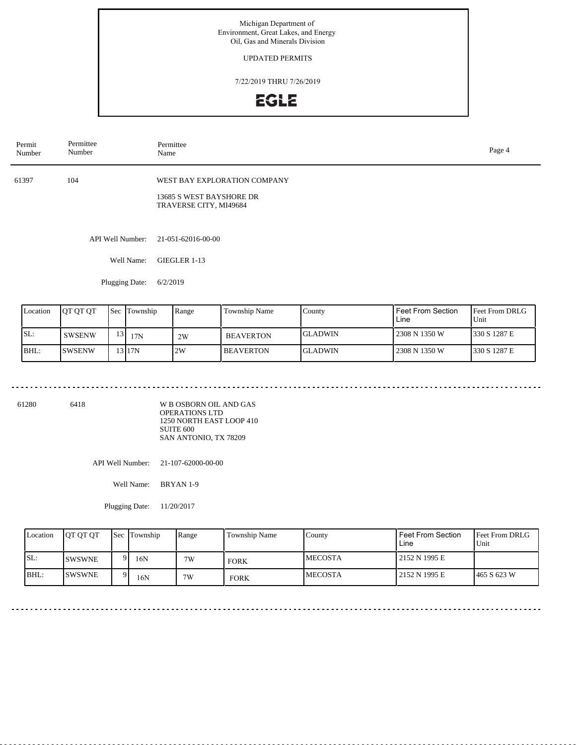### UPDATED PERMITS

7/22/2019 THRU 7/26/2019

# **EGLE**

| Permit<br>Number | Permittee<br>Number | Permittee<br>Name                                                                  | Page 4 |
|------------------|---------------------|------------------------------------------------------------------------------------|--------|
| 61397            | 104                 | WEST BAY EXPLORATION COMPANY<br>13685 S WEST BAYSHORE DR<br>TRAVERSE CITY, MI49684 |        |
|                  | API Well Number:    | 21-051-62016-00-00                                                                 |        |
|                  | Well Name:          | GIEGLER 1-13                                                                       |        |
|                  | Plugging Date:      | 6/2/2019                                                                           |        |
|                  |                     |                                                                                    |        |

| Location | <b>OT OT OT</b> |                 | <b>Sec Township</b> | Range | <b>Township Name</b> | County         | Feet From Section<br>∟ine | <b>Feet From DRLG</b><br>Unit |
|----------|-----------------|-----------------|---------------------|-------|----------------------|----------------|---------------------------|-------------------------------|
| SL:      | <b>SWSENW</b>   | 13 <sub>l</sub> | 17N                 | 2W    | <b>BEAVERTON</b>     | <b>GLADWIN</b> | 2308 N 1350 W             | 1330 S 1287 E                 |
| BHL:     | <b>ISWSENW</b>  |                 | 13117N              | 2W    | <b>BEAVERTON</b>     | <b>GLADWIN</b> | 2308 N 1350 W             | 1330 S 1287 E                 |

--------------------------------

61280 6418

. . . . . . . . . . . . . . . . . . .

W B OSBORN OIL AND GAS OPERATIONS LTD 1250 NORTH EAST LOOP 410 SUITE 600 SAN ANTONIO, TX 78209

API Well Number: 21-107-62000-00-00

Well Name: BRYAN 1-9

Plugging Date: 11/20/2017

| Location | <b>OT OT OT</b> |          | Sec Township | Range | Township Name | County          | Feet From Section<br>Line | <b>Feet From DRLG</b><br>Unit |
|----------|-----------------|----------|--------------|-------|---------------|-----------------|---------------------------|-------------------------------|
| SL:      | <b>SWSWNE</b>   | $\Omega$ | 16N          | 7W    | <b>FORK</b>   | <b>IMECOSTA</b> | 2152 N 1995 E             |                               |
| BHL:     | <b>ISWSWNE</b>  | . വ      | 16N          | 7W    | <b>FORK</b>   | <b>IMECOSTA</b> | 2152 N 1995 E             | 1465 S 623 W                  |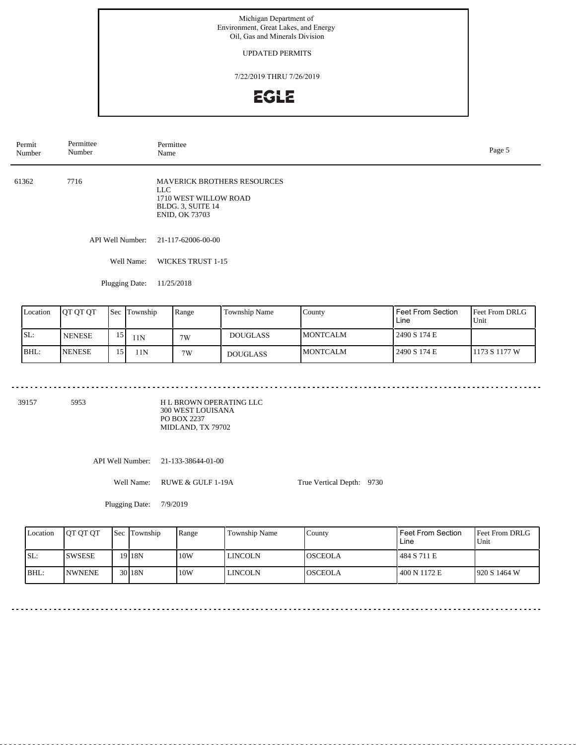### UPDATED PERMITS

7/22/2019 THRU 7/26/2019

# EGLE

| Permit<br>Number | Permittee<br>Number | Permittee<br>Name                                                                                                  | Page 5 |
|------------------|---------------------|--------------------------------------------------------------------------------------------------------------------|--------|
| 61362            | 7716                | <b>MAVERICK BROTHERS RESOURCES</b><br>LLC .<br>1710 WEST WILLOW ROAD<br>BLDG. 3, SUITE 14<br><b>ENID, OK 73703</b> |        |
|                  | API Well Number:    | 21-117-62006-00-00                                                                                                 |        |
|                  | Well Name:          | WICKES TRUST 1-15                                                                                                  |        |
|                  | Plugging Date:      | 11/25/2018                                                                                                         |        |

| Location | <b>OT OT OT</b> |   | Sec Township | Range | Township Name   | Countv           | Feet From Section<br>Line | <b>Feet From DRLG</b><br>Unit |
|----------|-----------------|---|--------------|-------|-----------------|------------------|---------------------------|-------------------------------|
| SL:      | <b>NENESE</b>   |   | 11N          | 7W    | <b>DOUGLASS</b> | <b>IMONTCALM</b> | 2490 S 174 E              |                               |
| BHL:     | <b>NENESE</b>   | 5 | 11N          | 7W    | <b>DOUGLASS</b> | <b>MONTCALM</b>  | 2490 S 174 E              | 11173 S 1177 W                |

39157 5953

H L BROWN OPERATING LLC 300 WEST LOUISANA PO BOX 2237 MIDLAND, TX 79702

API Well Number: 21-133-38644-01-00

Well Name: RUWE & GULF 1-19A

True Vertical Depth: 9730

Plugging Date: 7/9/2019

| Location | <b>OT OT OT</b> | <b>Sec Township</b> | Range | Township Name  | County         | Feet From Section<br>Line | <b>Feet From DRLG</b><br>Unit |
|----------|-----------------|---------------------|-------|----------------|----------------|---------------------------|-------------------------------|
| ISL:     | <b>ISWSESE</b>  | 19 I 18N            | 10W   | LINCOLN        | <b>OSCEOLA</b> | 484 S 711 E               |                               |
| IBHL:    | <b>INWNENE</b>  | 30 <sub>18N</sub>   | 10W   | <b>LINCOLN</b> | <b>OSCEOLA</b> | 400 N 1172 E              | 1920 S 1464 W                 |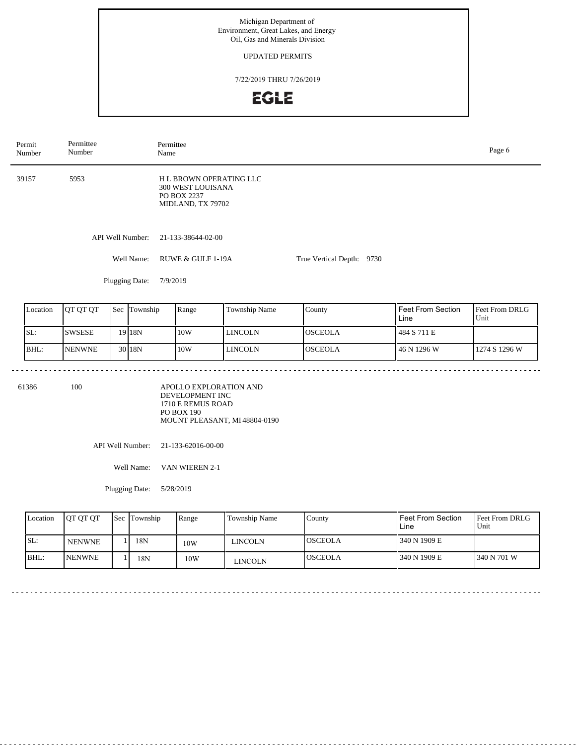UPDATED PERMITS

7/22/2019 THRU 7/26/2019



| Permit<br>Number | Permittee<br>Number | Permittee<br>Name                                                                      |                           | Page 6 |
|------------------|---------------------|----------------------------------------------------------------------------------------|---------------------------|--------|
| 39157            | 5953                | <b>HL BROWN OPERATING LLC</b><br>300 WEST LOUISANA<br>PO BOX 2237<br>MIDLAND, TX 79702 |                           |        |
|                  | API Well Number:    | 21-133-38644-02-00                                                                     |                           |        |
|                  | Well Name:          | RUWE & GULF 1-19A                                                                      | True Vertical Depth: 9730 |        |
|                  | Plugging Date:      | 7/9/2019                                                                               |                           |        |

| Location | OT OT OT      | Sec Township      | Range | <b>Township Name</b> | Countv         | Feet From Section<br>Line | <b>Feet From DRLG</b><br>Unit |
|----------|---------------|-------------------|-------|----------------------|----------------|---------------------------|-------------------------------|
| SL:      | <b>SWSESE</b> | 19 18 N           | 10W   | <b>LINCOLN</b>       | <b>OSCEOLA</b> | 484 S 711 E               |                               |
| BHL:     | <b>NENWNE</b> | 30 <sub>18N</sub> | 10W   | <b>LINCOLN</b>       | <b>OSCEOLA</b> | 46 N 1296 W               | 1274 S 1296 W                 |

61386 100

APOLLO EXPLORATION AND DEVELOPMENT INC 1710 E REMUS ROAD PO BOX 190 MOUNT PLEASANT, MI 48804-0190

API Well Number: 21-133-62016-00-00

Well Name: VAN WIEREN 2-1

Plugging Date: 5/28/2019

| Location | <b>JOT OT OT</b> | Sec Township | Range | Township Name | County         | <b>Feet From Section</b><br>Line | <b>Feet From DRLG</b><br>Unit |
|----------|------------------|--------------|-------|---------------|----------------|----------------------------------|-------------------------------|
| SL:      | <b>NENWNE</b>    | 18N          | 10W   | LINCOLN       | <b>OSCEOLA</b> | 340 N 1909 E                     |                               |
| IBHL:    | <b>INENWNE</b>   | 18N          | 10W   | LINCOLN       | <b>OSCEOLA</b> | 340 N 1909 E                     | 1340 N 701 W                  |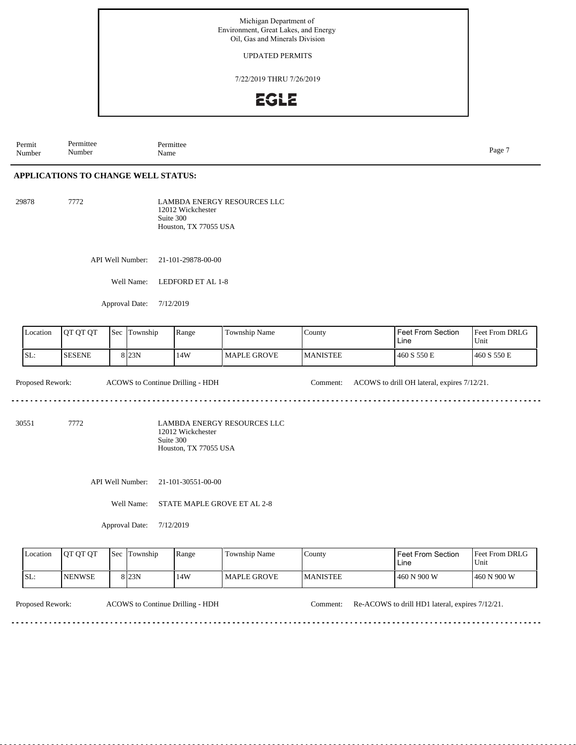UPDATED PERMITS

7/22/2019 THRU 7/26/2019

### **EGLE**

Permit Number Permittee Number Permittee<br>Name Name Page 7

### **APPLICATIONS TO CHANGE WELL STATUS:**

29878 7772

LAMBDA ENERGY RESOURCES LLC 12012 Wickchester Suite 300 Houston, TX 77055 USA

API Well Number: 21-101-29878-00-00

Well Name: LEDFORD ET AL 1-8

Approval Date: 7/12/2019

| Location | IOT OT OT      | Sec | Township         | Range | Township Name      | $\text{Country}$ | l Feet From Section<br>Line | <b>Feet From DRLG</b><br>Unit |
|----------|----------------|-----|------------------|-------|--------------------|------------------|-----------------------------|-------------------------------|
| ISL:     | <b>ISESENE</b> |     | 8 <sub>23N</sub> | 14W   | <b>MAPLE GROVE</b> | <b>IMANISTEE</b> | 460 S 550 E                 | 460 S 550 E                   |

Proposed Rework: ACOWS to Continue Drilling - HDH Comment: ACOWS to drill OH lateral, expires 7/12/21.

30551 7772

LAMBDA ENERGY RESOURCES LLC 12012 Wickchester Suite 300 Houston, TX 77055 USA

API Well Number: 21-101-30551-00-00

Well Name: STATE MAPLE GROVE ET AL 2-8

Approval Date: 7/12/2019

| Location   | <b>OT OT OT</b> | Sec | Township         | Range | Township Name | County           | Feet From Section<br>Line | <b>Feet From DRLG</b><br>'Unit |
|------------|-----------------|-----|------------------|-------|---------------|------------------|---------------------------|--------------------------------|
| <b>SL:</b> | <b>INENWSE</b>  |     | 8 <sub>23N</sub> | 14W   | l MAPLE GROVE | <b>IMANISTEE</b> | 460 N 900 W               | 460 N 900 W                    |

<u>. . . . . . . . . . .</u>

Proposed Rework: ACOWS to Continue Drilling - HDH Comment: Re-ACOWS to drill HD1 lateral, expires 7/12/21.

<u>. . . . . . . . . . . . . . . . .</u>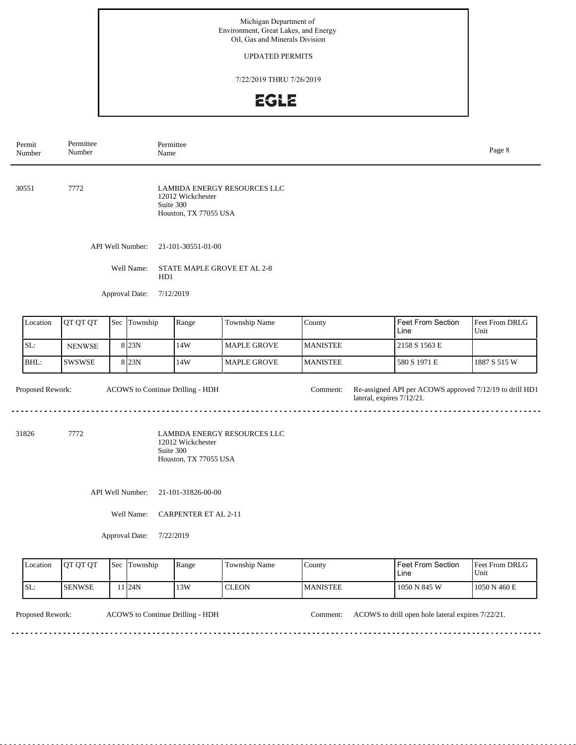### UPDATED PERMITS

7/22/2019 THRU 7/26/2019

# EGLE

| Permit<br>Number | Permittee<br>Number |     | Name             | Permittee                                               |                             |                 |                                                                                      | Page 8                 |  |  |
|------------------|---------------------|-----|------------------|---------------------------------------------------------|-----------------------------|-----------------|--------------------------------------------------------------------------------------|------------------------|--|--|
| 30551            | 7772                |     |                  | 12012 Wickchester<br>Suite 300<br>Houston, TX 77055 USA | LAMBDA ENERGY RESOURCES LLC |                 |                                                                                      |                        |  |  |
|                  |                     |     | API Well Number: | 21-101-30551-01-00                                      |                             |                 |                                                                                      |                        |  |  |
|                  |                     |     | Well Name:       | STATE MAPLE GROVE ET AL 2-8<br>HD1                      |                             |                 |                                                                                      |                        |  |  |
|                  |                     |     | Approval Date:   | 7/12/2019                                               |                             |                 |                                                                                      |                        |  |  |
| Location         | QT QT QT            | Sec | Township         | Range                                                   | Township Name               | County          | Feet From Section<br>Line                                                            | Feet From DRLG<br>Unit |  |  |
| SL:              | <b>NENWSE</b>       |     | 8 23N            | 14W                                                     | <b>MAPLE GROVE</b>          | <b>MANISTEE</b> | 2158 S 1563 E                                                                        |                        |  |  |
| BHL:             | <b>SWSWSE</b>       |     | 8 23N            | 14W                                                     | MAPLE GROVE                 | <b>MANISTEE</b> | 580 S 1971 E                                                                         | 1887 S 515 W           |  |  |
| Proposed Rework: |                     |     |                  | ACOWS to Continue Drilling - HDH                        |                             | Comment:        | Re-assigned API per ACOWS approved 7/12/19 to drill HD1<br>lateral, expires 7/12/21. |                        |  |  |
| 31826            | 7772                |     |                  | 12012 Wickchester<br>Suite 300<br>Houston, TX 77055 USA | LAMBDA ENERGY RESOURCES LLC |                 |                                                                                      |                        |  |  |
|                  |                     |     | API Well Number: | 21-101-31826-00-00                                      |                             |                 |                                                                                      |                        |  |  |
|                  |                     |     | Well Name:       | <b>CARPENTER ET AL 2-11</b>                             |                             |                 |                                                                                      |                        |  |  |
|                  |                     |     | Approval Date:   | 7/22/2019                                               |                             |                 |                                                                                      |                        |  |  |
| Location         | QT QT QT            |     | Sec Township     | Range                                                   | Township Name               | County          | Feet From Section                                                                    | Feet From DRLG         |  |  |

| <b>L</b> ocation | TOT OT OT      | I Sec | l Township | Range | Township Name | County          | I Feet From Section<br>∟ine | <b>IFeet From DRLG</b><br>Unit |
|------------------|----------------|-------|------------|-------|---------------|-----------------|-----------------------------|--------------------------------|
| ISL.             | <b>ISENWSE</b> |       | 124N       | 13W   | <b>CLEON</b>  | <b>MANISTEE</b> | 1050 N 845 W                | 1050 N 460 E                   |

<u>. . . . . . . . .</u>

Proposed Rework: ACOWS to Continue Drilling - HDH Comment: ACOWS to drill open hole lateral expires 7/22/21.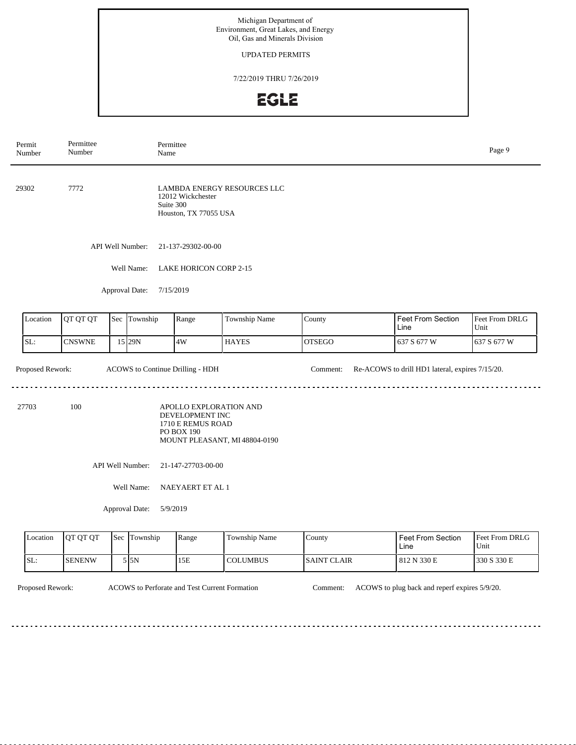### UPDATED PERMITS

7/22/2019 THRU 7/26/2019

# EGLE

|                                                                                                                                | Permit<br>Number                            | Permittee<br>Number |     | Permittee<br>Name |                                                                                                               |                 |                    |                                  | Page 9                 |  |  |
|--------------------------------------------------------------------------------------------------------------------------------|---------------------------------------------|---------------------|-----|-------------------|---------------------------------------------------------------------------------------------------------------|-----------------|--------------------|----------------------------------|------------------------|--|--|
| 29302<br>7772                                                                                                                  |                                             |                     |     |                   | LAMBDA ENERGY RESOURCES LLC<br>12012 Wickchester<br>Suite 300<br>Houston, TX 77055 USA                        |                 |                    |                                  |                        |  |  |
| API Well Number:                                                                                                               |                                             |                     |     |                   | 21-137-29302-00-00                                                                                            |                 |                    |                                  |                        |  |  |
|                                                                                                                                | Well Name:<br><b>LAKE HORICON CORP 2-15</b> |                     |     |                   |                                                                                                               |                 |                    |                                  |                        |  |  |
|                                                                                                                                | Approval Date:<br>7/15/2019                 |                     |     |                   |                                                                                                               |                 |                    |                                  |                        |  |  |
|                                                                                                                                | Location                                    | QT QT QT            |     | Sec Township      | Range                                                                                                         | Township Name   | County             | Feet From Section<br>Line        | Feet From DRLG<br>Unit |  |  |
|                                                                                                                                | SL:                                         | <b>CNSWNE</b>       |     | 15 29N            | 4W                                                                                                            | <b>HAYES</b>    | <b>OTSEGO</b>      | 637 S 677 W                      | 637 S 677 W            |  |  |
| Proposed Rework:<br>ACOWS to Continue Drilling - HDH<br>Re-ACOWS to drill HD1 lateral, expires 7/15/20.<br>Comment:            |                                             |                     |     |                   |                                                                                                               |                 |                    |                                  |                        |  |  |
| 100<br>27703                                                                                                                   |                                             |                     |     |                   | APOLLO EXPLORATION AND<br>DEVELOPMENT INC<br>1710 E REMUS ROAD<br>PO BOX 190<br>MOUNT PLEASANT, MI 48804-0190 |                 |                    |                                  |                        |  |  |
|                                                                                                                                | API Well Number:<br>21-147-27703-00-00      |                     |     |                   |                                                                                                               |                 |                    |                                  |                        |  |  |
|                                                                                                                                | Well Name:<br>NAEYAERT ET AL 1              |                     |     |                   |                                                                                                               |                 |                    |                                  |                        |  |  |
| Approval Date:<br>5/9/2019                                                                                                     |                                             |                     |     |                   |                                                                                                               |                 |                    |                                  |                        |  |  |
|                                                                                                                                | Location                                    | QT QT QT            | Sec | Township          | Range                                                                                                         | Township Name   | County             | <b>Feet From Section</b><br>Line | Feet From DRLG<br>Unit |  |  |
|                                                                                                                                | SL:                                         | <b>SENENW</b>       |     | $5 \vert 5N$      | 15E                                                                                                           | <b>COLUMBUS</b> | <b>SAINT CLAIR</b> | 812 N 330 E                      | 330 S 330 E            |  |  |
| Proposed Rework:<br>ACOWS to Perforate and Test Current Formation<br>ACOWS to plug back and reperf expires 5/9/20.<br>Comment: |                                             |                     |     |                   |                                                                                                               |                 |                    |                                  |                        |  |  |